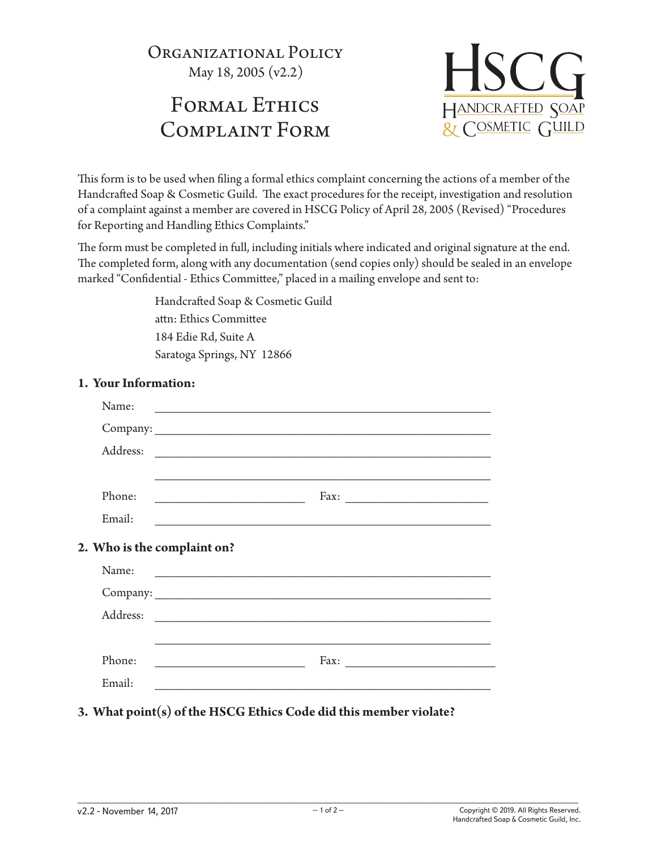Organizational Policy May 18, 2005 (v2.2)

# FORMAL ETHICS Complaint Form



This form is to be used when filing a formal ethics complaint concerning the actions of a member of the Handcrafted Soap & Cosmetic Guild. The exact procedures for the receipt, investigation and resolution of a complaint against a member are covered in HSCG Policy of April 28, 2005 (Revised) "Procedures for Reporting and Handling Ethics Complaints."

The form must be completed in full, including initials where indicated and original signature at the end. The completed form, along with any documentation (send copies only) should be sealed in an envelope marked "Confidential - Ethics Committee," placed in a mailing envelope and sent to:

> Handcrafted Soap & Cosmetic Guild attn: Ethics Committee 184 Edie Rd, Suite A Saratoga Springs, NY 12866

| Name:                       | <u> 1989 - Andrea Maria II, ann an t-Aontaithe ann an t-Aontaithe ann an t-Aontaithe ann an t-Aontaithe ann an t-Aon</u> |  |  |  |
|-----------------------------|--------------------------------------------------------------------------------------------------------------------------|--|--|--|
|                             |                                                                                                                          |  |  |  |
| Address:                    | <u> 1989 - Johann Stein, margaret eta idazlea (h. 1982).</u>                                                             |  |  |  |
|                             |                                                                                                                          |  |  |  |
| Phone:                      | <u> 1989 - Johann John Stone, markin f</u>                                                                               |  |  |  |
| Email:                      |                                                                                                                          |  |  |  |
| 2. Who is the complaint on? |                                                                                                                          |  |  |  |
| Name:                       | <u> 1980 - Jan Barbara, martxa al II-lea (h. 1980).</u>                                                                  |  |  |  |
|                             |                                                                                                                          |  |  |  |
| Address:                    | <u> 2000 - Jan Alexander de Carlos de Carlos de Carlos de Carlos de Carlos de Carlos de Carlos de Carlos de Carlos </u>  |  |  |  |
|                             | ,我们也不能在这里的时候,我们也不能在这里的时候,我们也不能会在这里的时候,我们也不能会在这里的时候,我们也不能会在这里的时候,我们也不能会在这里的时候,我们也不                                        |  |  |  |
| Phone:                      | Fax: $\qquad \qquad$                                                                                                     |  |  |  |
| Email:                      |                                                                                                                          |  |  |  |
|                             |                                                                                                                          |  |  |  |

## **1. Your Information:**

**3. What point(s) of the HSCG Ethics Code did this member violate?**